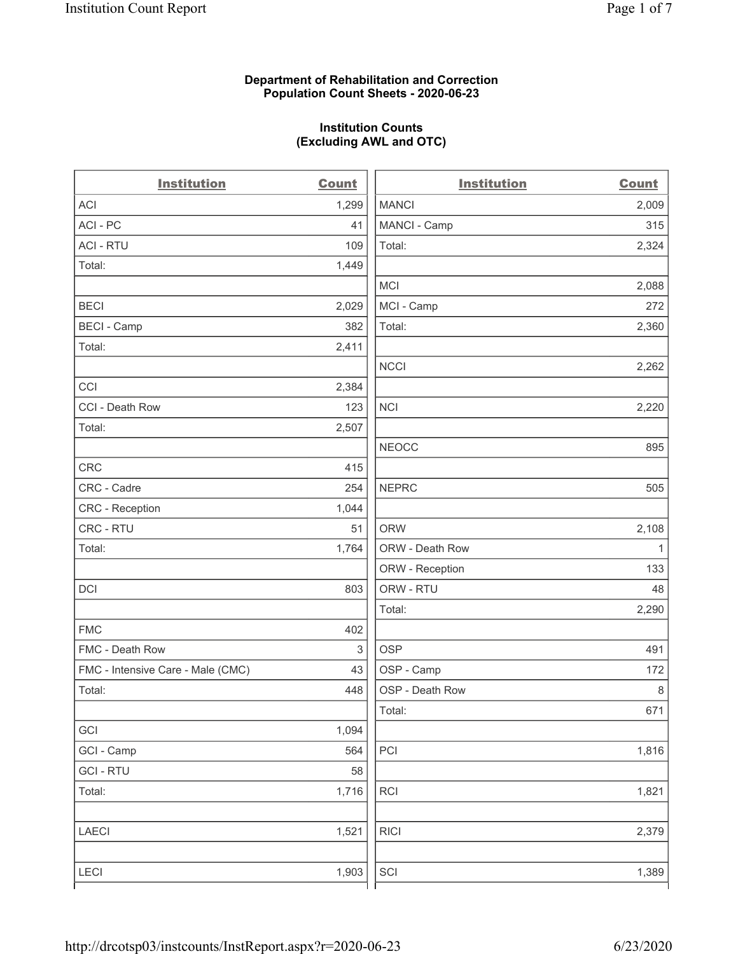#### **Department of Rehabilitation and Correction Population Count Sheets - 2020-06-23**

# **Institution Counts (Excluding AWL and OTC)**

 $\overline{a}$ .

| <b>Institution</b>                | <b>Count</b> | <b>Institution</b> | <b>Count</b> |
|-----------------------------------|--------------|--------------------|--------------|
| <b>ACI</b>                        | 1,299        | <b>MANCI</b>       | 2,009        |
| ACI-PC                            | 41           | MANCI - Camp       | 315          |
| <b>ACI - RTU</b>                  | 109          | Total:             | 2,324        |
| Total:                            | 1,449        |                    |              |
|                                   |              | MCI                | 2,088        |
| <b>BECI</b>                       | 2,029        | MCI - Camp         | 272          |
| <b>BECI - Camp</b>                | 382          | Total:             | 2,360        |
| Total:                            | 2,411        |                    |              |
|                                   |              | <b>NCCI</b>        | 2,262        |
| CCI                               | 2,384        |                    |              |
| CCI - Death Row                   | 123          | <b>NCI</b>         | 2,220        |
| Total:                            | 2,507        |                    |              |
|                                   |              | <b>NEOCC</b>       | 895          |
| <b>CRC</b>                        | 415          |                    |              |
| CRC - Cadre                       | 254          | <b>NEPRC</b>       | 505          |
| CRC - Reception                   | 1,044        |                    |              |
| CRC - RTU                         | 51           | <b>ORW</b>         | 2,108        |
| Total:                            | 1,764        | ORW - Death Row    | $\mathbf{1}$ |
|                                   |              | ORW - Reception    | 133          |
| DCI                               | 803          | ORW - RTU          | 48           |
|                                   |              | Total:             | 2,290        |
| <b>FMC</b>                        | 402          |                    |              |
| FMC - Death Row                   | 3            | <b>OSP</b>         | 491          |
| FMC - Intensive Care - Male (CMC) | 43           | OSP - Camp         | 172          |
| Total:                            | 448          | OSP - Death Row    | 8            |
|                                   |              | Total:             | 671          |
| GCI                               | 1,094        |                    |              |
| GCI - Camp                        | 564          | $\sf{PCI}$         | 1,816        |
| <b>GCI-RTU</b>                    | 58           |                    |              |
| Total:                            | 1,716        | <b>RCI</b>         | 1,821        |
| LAECI                             | 1,521        | <b>RICI</b>        | 2,379        |
| <b>LECI</b>                       | 1,903        | SCI                | 1,389        |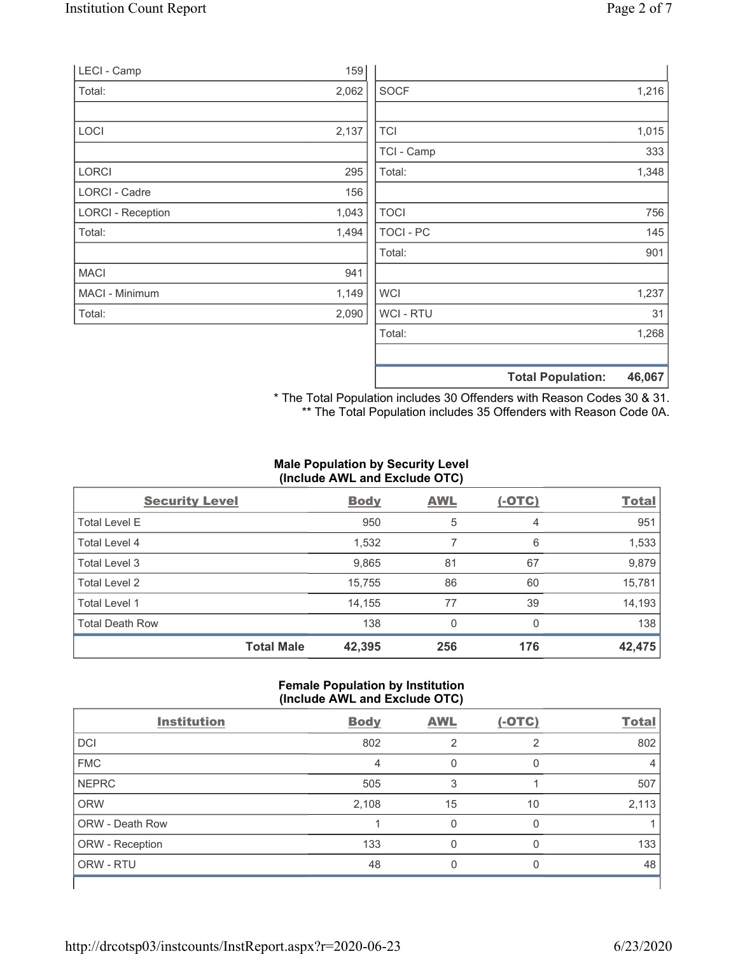| LECI - Camp              | 159   |                  |                          |        |
|--------------------------|-------|------------------|--------------------------|--------|
| Total:                   | 2,062 | <b>SOCF</b>      |                          | 1,216  |
|                          |       |                  |                          |        |
| LOCI                     | 2,137 | <b>TCI</b>       |                          | 1,015  |
|                          |       | TCI - Camp       |                          | 333    |
| LORCI                    | 295   | Total:           |                          | 1,348  |
| LORCI - Cadre            | 156   |                  |                          |        |
| <b>LORCI - Reception</b> | 1,043 | <b>TOCI</b>      |                          | 756    |
| Total:                   | 1,494 | <b>TOCI - PC</b> |                          | 145    |
|                          |       | Total:           |                          | 901    |
| <b>MACI</b>              | 941   |                  |                          |        |
| MACI - Minimum           | 1,149 | <b>WCI</b>       |                          | 1,237  |
| Total:                   | 2,090 | WCI - RTU        |                          | 31     |
|                          |       | Total:           |                          | 1,268  |
|                          |       |                  |                          |        |
|                          |       |                  | <b>Total Population:</b> | 46,067 |

\* The Total Population includes 30 Offenders with Reason Codes 30 & 31. \*\* The Total Population includes 35 Offenders with Reason Code 0A.

## **Male Population by Security Level (Include AWL and Exclude OTC)**

| <b>Security Level</b>  |                   | <b>Body</b> | <b>AWL</b> | $(-OTC)$ | <b>Total</b> |
|------------------------|-------------------|-------------|------------|----------|--------------|
| <b>Total Level E</b>   |                   | 950         | 5          | 4        | 951          |
| Total Level 4          |                   | 1,532       |            | 6        | 1,533        |
| Total Level 3          |                   | 9,865       | 81         | 67       | 9,879        |
| Total Level 2          |                   | 15,755      | 86         | 60       | 15,781       |
| Total Level 1          |                   | 14,155      | 77         | 39       | 14,193       |
| <b>Total Death Row</b> |                   | 138         | 0          | $\Omega$ | 138          |
|                        | <b>Total Male</b> | 42,395      | 256        | 176      | 42,475       |

## **Female Population by Institution (Include AWL and Exclude OTC)**

| ,                  |             |            |          |              |
|--------------------|-------------|------------|----------|--------------|
| <b>Institution</b> | <b>Body</b> | <b>AWL</b> | $(-OTC)$ | <b>Total</b> |
| <b>DCI</b>         | 802         | 2          | っ        | 802          |
| <b>FMC</b>         | 4           | 0          | $\Omega$ | 4            |
| <b>NEPRC</b>       | 505         | 3          |          | 507          |
| <b>ORW</b>         | 2,108       | 15         | 10       | 2,113        |
| ORW - Death Row    |             |            | 0        |              |
| ORW - Reception    | 133         | 0          | O        | 133          |
| ORW - RTU          | 48          | 0          | $\Omega$ | 48           |
|                    |             |            |          |              |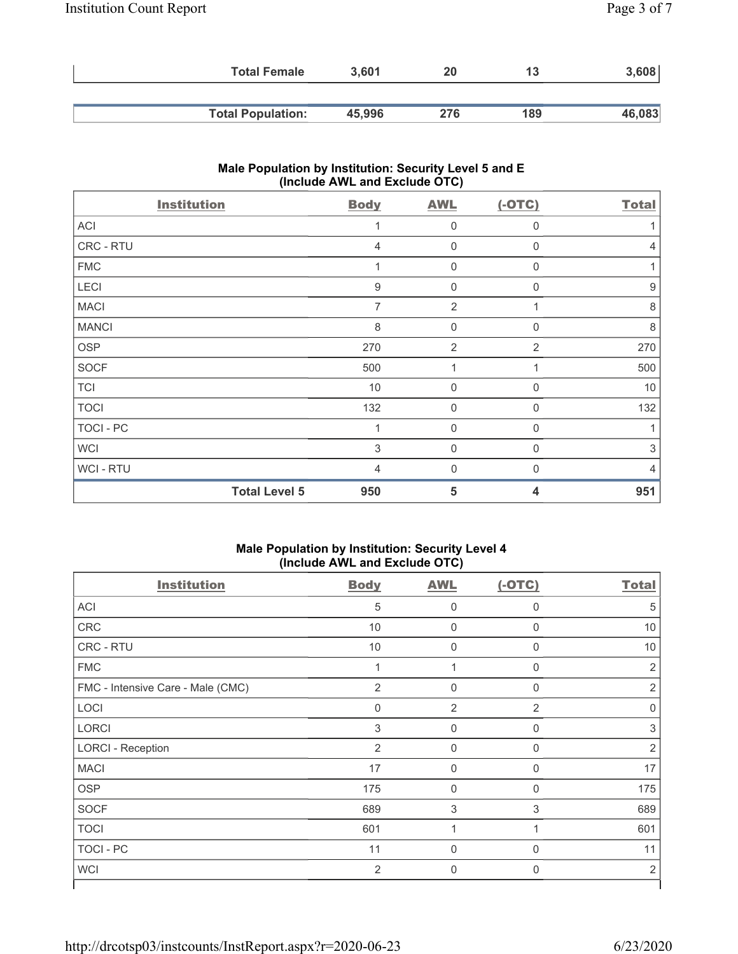| <b>Total Female</b>      | 3.601  | 20  | 13  | 3,608  |
|--------------------------|--------|-----|-----|--------|
|                          |        |     |     |        |
| <b>Total Population:</b> | 45,996 | 276 | 189 | 46,083 |

# **Male Population by Institution: Security Level 5 and E (Include AWL and Exclude OTC)**

| <b>Institution</b>   | <b>Body</b>      | <b>AWL</b>     | $(-OTC)$       | <b>Total</b>   |
|----------------------|------------------|----------------|----------------|----------------|
| <b>ACI</b>           |                  | $\mathbf 0$    | 0              |                |
| CRC - RTU            | $\overline{4}$   | $\mathbf 0$    | $\mathbf 0$    | $\overline{4}$ |
| <b>FMC</b>           |                  | 0              | 0              |                |
| LECI                 | $\boldsymbol{9}$ | $\mathbf 0$    | 0              | 9              |
| <b>MACI</b>          | 7                | $\overline{2}$ |                | 8              |
| <b>MANCI</b>         | 8                | $\mathbf 0$    | 0              | 8              |
| <b>OSP</b>           | 270              | $\overline{2}$ | $\overline{2}$ | 270            |
| <b>SOCF</b>          | 500              | 1              |                | 500            |
| <b>TCI</b>           | 10               | $\mathbf 0$    | $\Omega$       | 10             |
| <b>TOCI</b>          | 132              | $\mathbf 0$    | 0              | 132            |
| <b>TOCI - PC</b>     | 1                | $\mathbf 0$    | $\mathbf 0$    | 1              |
| <b>WCI</b>           | 3                | 0              | 0              | 3              |
| WCI - RTU            | $\overline{4}$   | $\overline{0}$ | $\Omega$       | $\overline{4}$ |
| <b>Total Level 5</b> | 950              | 5              | 4              | 951            |

#### **Male Population by Institution: Security Level 4 (Include AWL and Exclude OTC)**

| <b>Institution</b>                | <b>Body</b>    | <b>AWL</b>          | $(-OTC)$       | <b>Total</b>   |
|-----------------------------------|----------------|---------------------|----------------|----------------|
| ACI                               | 5              | $\mathbf 0$         | $\Omega$       | 5              |
| CRC                               | 10             | $\mathbf 0$         | 0              | 10             |
| <b>CRC - RTU</b>                  | 10             | $\mathbf 0$         | 0              | 10             |
| <b>FMC</b>                        | $\overline{1}$ | 1                   | $\mathbf{0}$   | $\overline{2}$ |
| FMC - Intensive Care - Male (CMC) | $\overline{2}$ | $\mathbf 0$         | 0              | 2              |
| LOCI                              | 0              | $\overline{2}$      | $\overline{2}$ | $\Omega$       |
| <b>LORCI</b>                      | $\mathsf 3$    | $\mathbf 0$         | 0              | 3              |
| <b>LORCI - Reception</b>          | $\overline{2}$ | $\mathbf 0$         | 0              | $\overline{2}$ |
| <b>MACI</b>                       | 17             | $\mathbf 0$         | 0              | 17             |
| <b>OSP</b>                        | 175            | $\mathbf 0$         | 0              | 175            |
| <b>SOCF</b>                       | 689            | 3                   | 3              | 689            |
| <b>TOCI</b>                       | 601            | 1                   | 1              | 601            |
| TOCI - PC                         | 11             | $\mathsf{O}\xspace$ | 0              | 11             |
| <b>WCI</b>                        | $\overline{2}$ | $\mathbf 0$         | $\mathbf 0$    | $\overline{2}$ |
|                                   |                |                     |                |                |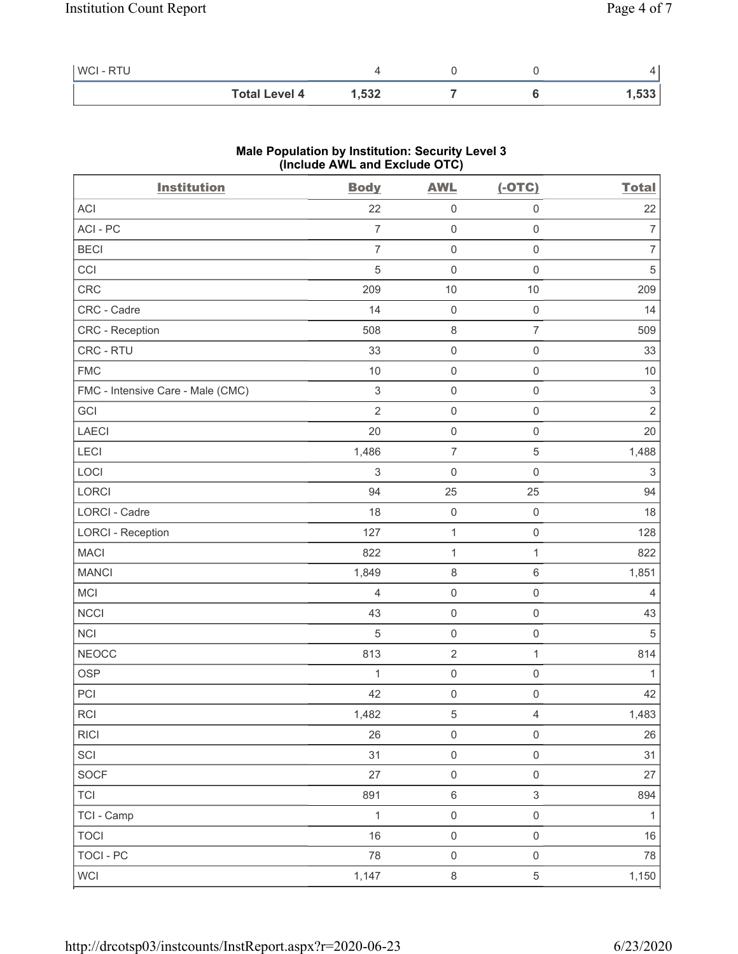| WCI-RTU |                      |       |  |      |
|---------|----------------------|-------|--|------|
|         | <b>Total Level 4</b> | 1,532 |  | ,533 |

### **Male Population by Institution: Security Level 3 (Include AWL and Exclude OTC)**

| <b>Institution</b>                | <b>Body</b>    | <b>AWL</b>          | $(-OTC)$            | <b>Total</b>              |
|-----------------------------------|----------------|---------------------|---------------------|---------------------------|
| <b>ACI</b>                        | 22             | $\mathsf{O}\xspace$ | $\mathsf{O}\xspace$ | 22                        |
| ACI-PC                            | $\overline{7}$ | $\mathsf{O}\xspace$ | $\mathsf 0$         | 7                         |
| <b>BECI</b>                       | $\overline{7}$ | $\mathsf{O}\xspace$ | $\mathsf 0$         | $\overline{7}$            |
| CCI                               | 5              | $\boldsymbol{0}$    | $\boldsymbol{0}$    | $\sqrt{5}$                |
| <b>CRC</b>                        | 209            | 10                  | 10                  | 209                       |
| CRC - Cadre                       | 14             | $\mathsf{O}\xspace$ | $\boldsymbol{0}$    | 14                        |
| CRC - Reception                   | 508            | $\,8\,$             | $\overline{7}$      | 509                       |
| CRC - RTU                         | 33             | $\mathsf{O}\xspace$ | $\mathsf{O}\xspace$ | 33                        |
| <b>FMC</b>                        | 10             | $\mathbf 0$         | $\mathsf 0$         | 10                        |
| FMC - Intensive Care - Male (CMC) | $\sqrt{3}$     | $\mathsf{O}\xspace$ | $\mathsf 0$         | $\,3$                     |
| GCI                               | $\overline{2}$ | $\mathsf{O}\xspace$ | $\mathsf{O}\xspace$ | $\overline{2}$            |
| <b>LAECI</b>                      | 20             | $\mathsf{O}\xspace$ | $\mathsf 0$         | 20                        |
| LECI                              | 1,486          | $\boldsymbol{7}$    | $\mathbf 5$         | 1,488                     |
| LOCI                              | 3              | $\boldsymbol{0}$    | $\mathbf 0$         | $\ensuremath{\mathsf{3}}$ |
| <b>LORCI</b>                      | 94             | 25                  | 25                  | 94                        |
| <b>LORCI - Cadre</b>              | 18             | $\mathsf{O}\xspace$ | $\boldsymbol{0}$    | 18                        |
| <b>LORCI - Reception</b>          | 127            | $\mathbf{1}$        | $\mathsf 0$         | 128                       |
| <b>MACI</b>                       | 822            | $\mathbf{1}$        | 1                   | 822                       |
| <b>MANCI</b>                      | 1,849          | $\,8\,$             | 6                   | 1,851                     |
| <b>MCI</b>                        | $\overline{4}$ | $\mathsf{O}\xspace$ | $\mathbf 0$         | 4                         |
| <b>NCCI</b>                       | 43             | $\mathsf{O}\xspace$ | $\boldsymbol{0}$    | 43                        |
| <b>NCI</b>                        | $\sqrt{5}$     | $\mathsf{O}\xspace$ | $\mathsf 0$         | 5                         |
| <b>NEOCC</b>                      | 813            | $\sqrt{2}$          | 1                   | 814                       |
| <b>OSP</b>                        | 1              | $\mathsf{O}\xspace$ | $\mathsf 0$         |                           |
| PCI                               | 42             | $\mathbf 0$         | $\mathbf 0$         | 42                        |
| $\sf RCI$                         | 1,482          | $\,$ 5 $\,$         | $\overline{4}$      | 1,483                     |
| <b>RICI</b>                       | 26             | $\mathsf{O}\xspace$ | $\mathsf{O}\xspace$ | 26                        |
| SCI                               | 31             | $\mathsf 0$         | $\mathsf{O}\xspace$ | 31                        |
| SOCF                              | 27             | $\mathsf 0$         | $\mathsf{O}\xspace$ | 27                        |
| <b>TCI</b>                        | 891            | $\,6\,$             | $\,$ 3 $\,$         | 894                       |
| TCI - Camp                        | $\mathbf{1}$   | $\mathsf{O}\xspace$ | $\mathsf{O}\xspace$ | 1                         |
| <b>TOCI</b>                       | 16             | $\mathsf{O}\xspace$ | $\mathsf{O}\xspace$ | $16\,$                    |
| <b>TOCI - PC</b>                  | 78             | $\mathsf{O}\xspace$ | $\mathsf 0$         | 78                        |
| WCI                               | 1,147          | $\,8\,$             | 5                   | 1,150                     |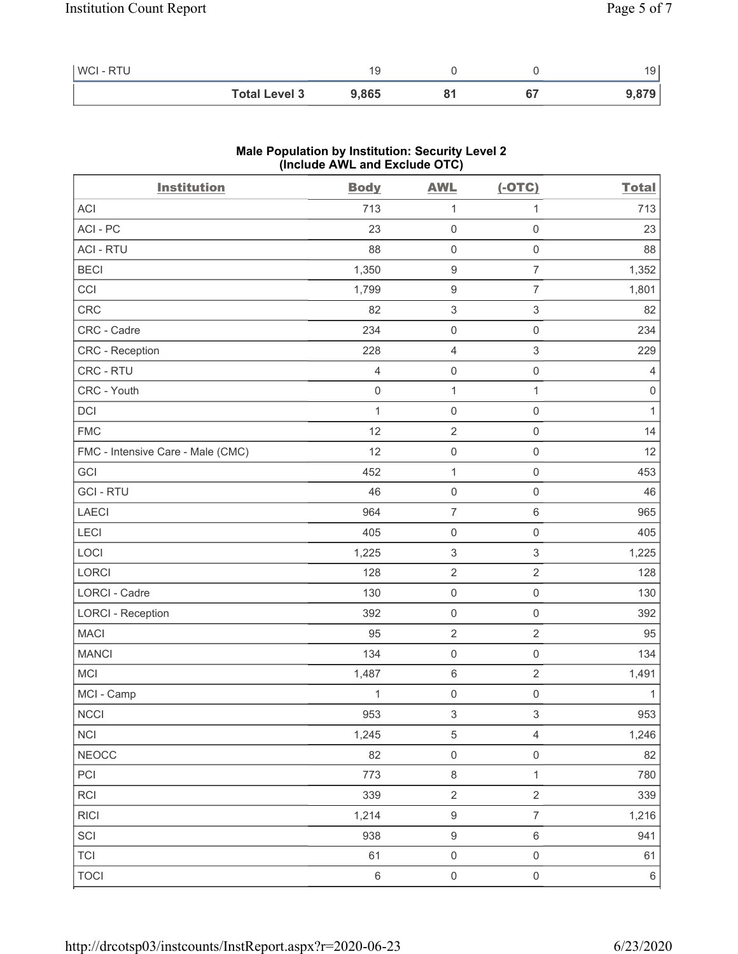| WCI - RTU |                      |       |    | 19    |
|-----------|----------------------|-------|----|-------|
|           | <b>Total Level 3</b> | 9,865 | 67 | 9,879 |

### **Male Population by Institution: Security Level 2 (Include AWL and Exclude OTC)**

| <b>Institution</b>                | <b>Body</b>    | <b>AWL</b>                | $(-OTC)$            | <b>Total</b>   |
|-----------------------------------|----------------|---------------------------|---------------------|----------------|
| <b>ACI</b>                        | 713            | $\mathbf{1}$              | $\mathbf{1}$        | 713            |
| ACI-PC                            | 23             | $\mathbf 0$               | $\mathsf 0$         | 23             |
| <b>ACI - RTU</b>                  | 88             | $\mathbf 0$               | $\mathsf{O}\xspace$ | 88             |
| <b>BECI</b>                       | 1,350          | $\boldsymbol{9}$          | $\overline{7}$      | 1,352          |
| CCI                               | 1,799          | $\boldsymbol{9}$          | $\overline{7}$      | 1,801          |
| CRC                               | 82             | $\ensuremath{\mathsf{3}}$ | 3                   | 82             |
| CRC - Cadre                       | 234            | $\mathbf 0$               | $\mathsf 0$         | 234            |
| <b>CRC</b> - Reception            | 228            | $\overline{4}$            | $\mathfrak{S}$      | 229            |
| CRC - RTU                         | $\overline{4}$ | $\mathbf 0$               | $\mathsf{O}\xspace$ | $\overline{4}$ |
| CRC - Youth                       | $\mathbf 0$    | $\mathbf{1}$              | $\mathbf{1}$        | $\,0\,$        |
| <b>DCI</b>                        | 1              | $\mathbf 0$               | $\mathsf 0$         | $\mathbf{1}$   |
| <b>FMC</b>                        | 12             | $\sqrt{2}$                | $\mathsf 0$         | 14             |
| FMC - Intensive Care - Male (CMC) | 12             | $\mathbf 0$               | $\mathsf 0$         | 12             |
| GCI                               | 452            | $\mathbf{1}$              | $\mathsf 0$         | 453            |
| <b>GCI-RTU</b>                    | 46             | $\mathbf 0$               | $\mathsf 0$         | 46             |
| LAECI                             | 964            | $\overline{7}$            | 6                   | 965            |
| LECI                              | 405            | $\mathbf 0$               | $\mathsf{O}\xspace$ | 405            |
| LOCI                              | 1,225          | $\ensuremath{\mathsf{3}}$ | 3                   | 1,225          |
| LORCI                             | 128            | $\sqrt{2}$                | $\overline{2}$      | 128            |
| LORCI - Cadre                     | 130            | $\mathbf 0$               | $\mathsf 0$         | 130            |
| <b>LORCI - Reception</b>          | 392            | $\mathbf 0$               | $\mathsf 0$         | 392            |
| <b>MACI</b>                       | 95             | $\sqrt{2}$                | $\overline{2}$      | 95             |
| <b>MANCI</b>                      | 134            | $\mathbf 0$               | $\mathsf 0$         | 134            |
| <b>MCI</b>                        | 1,487          | $\,6\,$                   | $\overline{2}$      | 1,491          |
| MCI - Camp                        | 1              | $\mathbf 0$               | $\mathsf{O}\xspace$ | $\mathbf{1}$   |
| $\sf NCCI$                        | 953            | $\ensuremath{\mathsf{3}}$ | 3                   | 953            |
| <b>NCI</b>                        | 1,245          | $\,$ 5 $\,$               | $\overline{4}$      | 1,246          |
| <b>NEOCC</b>                      | 82             | $\mathsf 0$               | $\mathsf{O}\xspace$ | 82             |
| PCI                               | 773            | $\,8\,$                   | $\mathbf{1}$        | 780            |
| <b>RCI</b>                        | 339            | $\sqrt{2}$                | $\overline{2}$      | 339            |
| <b>RICI</b>                       | 1,214          | $\boldsymbol{9}$          | $\overline{7}$      | 1,216          |
| SCI                               | 938            | $\boldsymbol{9}$          | $\,6\,$             | 941            |
| <b>TCI</b>                        | 61             | $\mathsf 0$               | $\mathsf{O}\xspace$ | 61             |
| <b>TOCI</b>                       | $\,6\,$        | $\mathsf{O}\xspace$       | $\mathsf{O}\xspace$ | $\,6\,$        |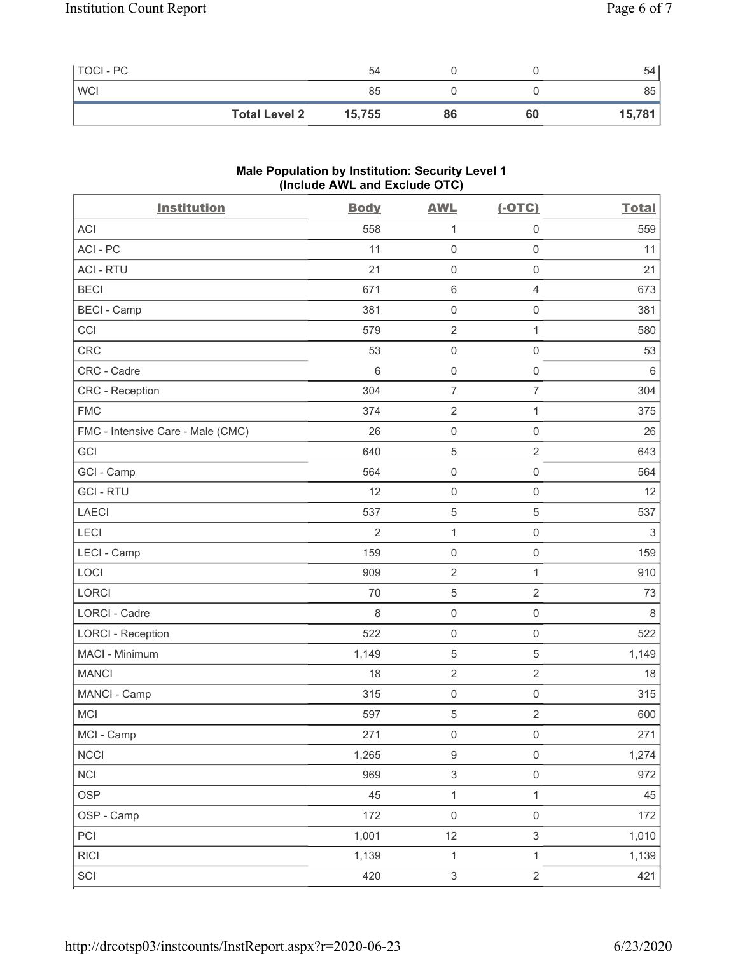| TOCI - PC  | 54                             |    |    | 54     |
|------------|--------------------------------|----|----|--------|
| <b>WCI</b> | 85                             |    |    | 85     |
|            | <b>Total Level 2</b><br>15,755 | 86 | 60 | 15,781 |

# **Male Population by Institution: Security Level 1 (Include AWL and Exclude OTC)**

| <b>Institution</b>                | <b>Body</b>    | <b>AWL</b>                | $(-OTC)$                  | <b>Total</b> |
|-----------------------------------|----------------|---------------------------|---------------------------|--------------|
| <b>ACI</b>                        | 558            | $\mathbf{1}$              | 0                         | 559          |
| ACI-PC                            | 11             | $\mathsf 0$               | $\mathbf 0$               | 11           |
| <b>ACI - RTU</b>                  | 21             | $\mathsf{O}\xspace$       | $\mathbf 0$               | 21           |
| <b>BECI</b>                       | 671            | $\,6\,$                   | $\overline{4}$            | 673          |
| <b>BECI - Camp</b>                | 381            | $\mathsf 0$               | $\mathbf 0$               | 381          |
| CCI                               | 579            | $\sqrt{2}$                | 1                         | 580          |
| <b>CRC</b>                        | 53             | $\mathsf{O}\xspace$       | $\mathbf 0$               | 53           |
| CRC - Cadre                       | $6\,$          | $\mathsf 0$               | $\mathbf 0$               | 6            |
| CRC - Reception                   | 304            | $\overline{7}$            | $\overline{7}$            | 304          |
| <b>FMC</b>                        | 374            | $\overline{2}$            | 1                         | 375          |
| FMC - Intensive Care - Male (CMC) | 26             | $\mathsf 0$               | $\mathsf{O}\xspace$       | 26           |
| GCI                               | 640            | $\mathbf 5$               | $\sqrt{2}$                | 643          |
| GCI - Camp                        | 564            | $\mathsf 0$               | $\mathsf{O}\xspace$       | 564          |
| <b>GCI-RTU</b>                    | 12             | $\mathsf{O}\xspace$       | $\mathsf{O}\xspace$       | 12           |
| <b>LAECI</b>                      | 537            | $\mathbf 5$               | $\overline{5}$            | 537          |
| LECI                              | $\overline{2}$ | $\mathbf{1}$              | $\mathbf 0$               | 3            |
| LECI - Camp                       | 159            | $\mathsf{O}\xspace$       | $\mathsf 0$               | 159          |
| LOCI                              | 909            | $\sqrt{2}$                | $\mathbf 1$               | 910          |
| LORCI                             | 70             | $\mathbf 5$               | $\sqrt{2}$                | 73           |
| <b>LORCI - Cadre</b>              | 8              | $\mathsf 0$               | $\mathbf 0$               | 8            |
| <b>LORCI - Reception</b>          | 522            | $\mathsf 0$               | $\mathbf 0$               | 522          |
| MACI - Minimum                    | 1,149          | $\mathbf 5$               | 5                         | 1,149        |
| <b>MANCI</b>                      | 18             | $\sqrt{2}$                | $\sqrt{2}$                | 18           |
| MANCI - Camp                      | 315            | $\mathsf{O}\xspace$       | $\mathbf 0$               | 315          |
| <b>MCI</b>                        | 597            | $\mathbf 5$               | $\sqrt{2}$                | 600          |
| MCI - Camp                        | 271            | $\mathsf{O}\xspace$       | $\mathsf{O}\xspace$       | 271          |
| <b>NCCI</b>                       | 1,265          | $\boldsymbol{9}$          | $\mathbf 0$               | 1,274        |
| <b>NCI</b>                        | 969            | $\ensuremath{\mathsf{3}}$ | $\mathbf 0$               | 972          |
| <b>OSP</b>                        | 45             | $\mathbf{1}$              | $\mathbf{1}$              | 45           |
| OSP - Camp                        | 172            | $\mathsf{O}\xspace$       | $\mathbf 0$               | 172          |
| PCI                               | 1,001          | 12                        | $\ensuremath{\mathsf{3}}$ | 1,010        |
| <b>RICI</b>                       | 1,139          | $\mathbf{1}$              | $\mathbf{1}$              | 1,139        |
| SCI                               | 420            | $\ensuremath{\mathsf{3}}$ | $\sqrt{2}$                | 421          |